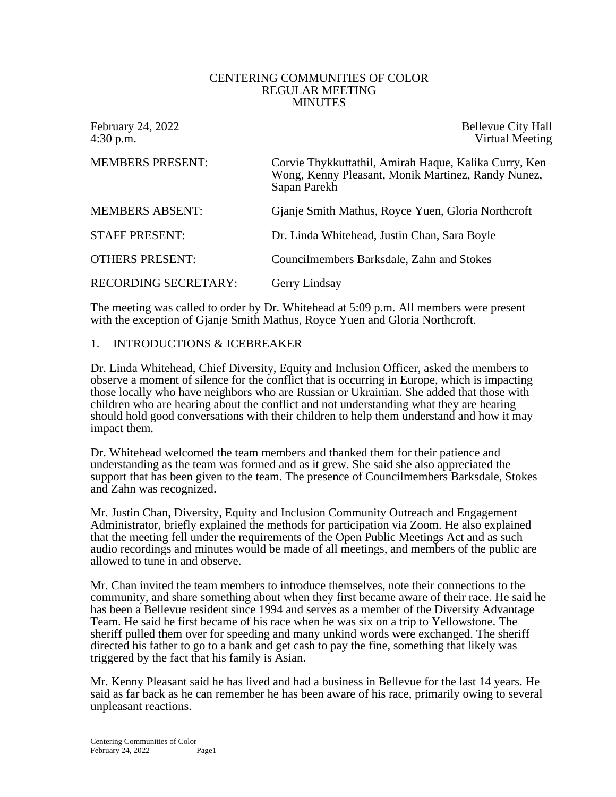#### CENTERING COMMUNITIES OF COLOR REGULAR MEETING MINUTES

February 24, 2022 **Bellevue City Hall** 4:30 p.m. Virtual Meeting

| <b>MEMBERS PRESENT:</b>     | Corvie Thykkuttathil, Amirah Haque, Kalika Curry, Ken<br>Wong, Kenny Pleasant, Monik Martinez, Randy Nunez,<br>Sapan Parekh |
|-----------------------------|-----------------------------------------------------------------------------------------------------------------------------|
| <b>MEMBERS ABSENT:</b>      | Gianje Smith Mathus, Royce Yuen, Gloria Northcroft                                                                          |
| <b>STAFF PRESENT:</b>       | Dr. Linda Whitehead, Justin Chan, Sara Boyle                                                                                |
| <b>OTHERS PRESENT:</b>      | Councilmembers Barksdale, Zahn and Stokes                                                                                   |
| <b>RECORDING SECRETARY:</b> | Gerry Lindsay                                                                                                               |

The meeting was called to order by Dr. Whitehead at 5:09 p.m. All members were present with the exception of Gjanje Smith Mathus, Royce Yuen and Gloria Northcroft.

### 1. INTRODUCTIONS & ICEBREAKER

Dr. Linda Whitehead, Chief Diversity, Equity and Inclusion Officer, asked the members to observe a moment of silence for the conflict that is occurring in Europe, which is impacting those locally who have neighbors who are Russian or Ukrainian. She added that those with children who are hearing about the conflict and not understanding what they are hearing should hold good conversations with their children to help them understand and how it may impact them.

Dr. Whitehead welcomed the team members and thanked them for their patience and understanding as the team was formed and as it grew. She said she also appreciated the support that has been given to the team. The presence of Councilmembers Barksdale, Stokes and Zahn was recognized.

Mr. Justin Chan, Diversity, Equity and Inclusion Community Outreach and Engagement Administrator, briefly explained the methods for participation via Zoom. He also explained that the meeting fell under the requirements of the Open Public Meetings Act and as such audio recordings and minutes would be made of all meetings, and members of the public are allowed to tune in and observe.

Mr. Chan invited the team members to introduce themselves, note their connections to the community, and share something about when they first became aware of their race. He said he has been a Bellevue resident since 1994 and serves as a member of the Diversity Advantage Team. He said he first became of his race when he was six on a trip to Yellowstone. The sheriff pulled them over for speeding and many unkind words were exchanged. The sheriff directed his father to go to a bank and get cash to pay the fine, something that likely was triggered by the fact that his family is Asian.

Mr. Kenny Pleasant said he has lived and had a business in Bellevue for the last 14 years. He said as far back as he can remember he has been aware of his race, primarily owing to several unpleasant reactions.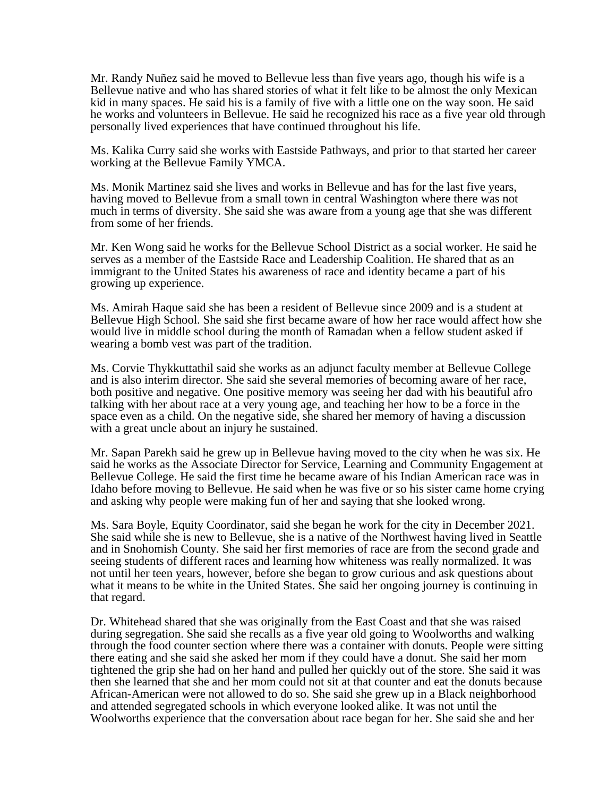Mr. Randy Nuñez said he moved to Bellevue less than five years ago, though his wife is a Bellevue native and who has shared stories of what it felt like to be almost the only Mexican kid in many spaces. He said his is a family of five with a little one on the way soon. He said he works and volunteers in Bellevue. He said he recognized his race as a five year old through personally lived experiences that have continued throughout his life.

Ms. Kalika Curry said she works with Eastside Pathways, and prior to that started her career working at the Bellevue Family YMCA.

Ms. Monik Martinez said she lives and works in Bellevue and has for the last five years, having moved to Bellevue from a small town in central Washington where there was not much in terms of diversity. She said she was aware from a young age that she was different from some of her friends.

Mr. Ken Wong said he works for the Bellevue School District as a social worker. He said he serves as a member of the Eastside Race and Leadership Coalition. He shared that as an immigrant to the United States his awareness of race and identity became a part of his growing up experience.

Ms. Amirah Haque said she has been a resident of Bellevue since 2009 and is a student at Bellevue High School. She said she first became aware of how her race would affect how she would live in middle school during the month of Ramadan when a fellow student asked if wearing a bomb vest was part of the tradition.

Ms. Corvie Thykkuttathil said she works as an adjunct faculty member at Bellevue College and is also interim director. She said she several memories of becoming aware of her race, both positive and negative. One positive memory was seeing her dad with his beautiful afro talking with her about race at a very young age, and teaching her how to be a force in the space even as a child. On the negative side, she shared her memory of having a discussion with a great uncle about an injury he sustained.

Mr. Sapan Parekh said he grew up in Bellevue having moved to the city when he was six. He said he works as the Associate Director for Service, Learning and Community Engagement at Bellevue College. He said the first time he became aware of his Indian American race was in Idaho before moving to Bellevue. He said when he was five or so his sister came home crying and asking why people were making fun of her and saying that she looked wrong.

Ms. Sara Boyle, Equity Coordinator, said she began he work for the city in December 2021. She said while she is new to Bellevue, she is a native of the Northwest having lived in Seattle and in Snohomish County. She said her first memories of race are from the second grade and seeing students of different races and learning how whiteness was really normalized. It was not until her teen years, however, before she began to grow curious and ask questions about what it means to be white in the United States. She said her ongoing journey is continuing in that regard.

Dr. Whitehead shared that she was originally from the East Coast and that she was raised during segregation. She said she recalls as a five year old going to Woolworths and walking through the food counter section where there was a container with donuts. People were sitting there eating and she said she asked her mom if they could have a donut. She said her mom tightened the grip she had on her hand and pulled her quickly out of the store. She said it was then she learned that she and her mom could not sit at that counter and eat the donuts because African-American were not allowed to do so. She said she grew up in a Black neighborhood and attended segregated schools in which everyone looked alike. It was not until the Woolworths experience that the conversation about race began for her. She said she and her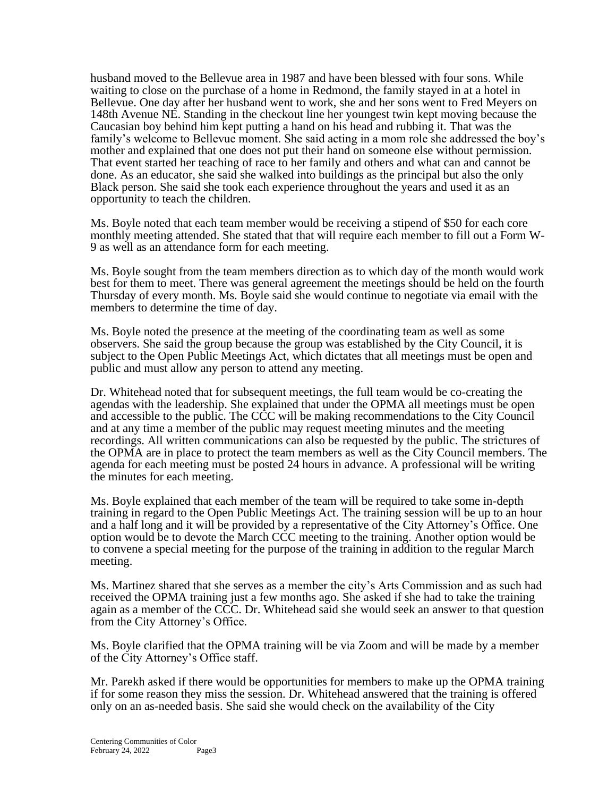husband moved to the Bellevue area in 1987 and have been blessed with four sons. While waiting to close on the purchase of a home in Redmond, the family stayed in at a hotel in Bellevue. One day after her husband went to work, she and her sons went to Fred Meyers on 148th Avenue NE. Standing in the checkout line her youngest twin kept moving because the Caucasian boy behind him kept putting a hand on his head and rubbing it. That was the family's welcome to Bellevue moment. She said acting in a mom role she addressed the boy's mother and explained that one does not put their hand on someone else without permission. That event started her teaching of race to her family and others and what can and cannot be done. As an educator, she said she walked into buildings as the principal but also the only Black person. She said she took each experience throughout the years and used it as an opportunity to teach the children.

Ms. Boyle noted that each team member would be receiving a stipend of \$50 for each core monthly meeting attended. She stated that that will require each member to fill out a Form W-9 as well as an attendance form for each meeting.

Ms. Boyle sought from the team members direction as to which day of the month would work best for them to meet. There was general agreement the meetings should be held on the fourth Thursday of every month. Ms. Boyle said she would continue to negotiate via email with the members to determine the time of day.

Ms. Boyle noted the presence at the meeting of the coordinating team as well as some observers. She said the group because the group was established by the City Council, it is subject to the Open Public Meetings Act, which dictates that all meetings must be open and public and must allow any person to attend any meeting.

Dr. Whitehead noted that for subsequent meetings, the full team would be co-creating the agendas with the leadership. She explained that under the OPMA all meetings must be open and accessible to the public. The CCC will be making recommendations to the City Council and at any time a member of the public may request meeting minutes and the meeting recordings. All written communications can also be requested by the public. The strictures of the OPMA are in place to protect the team members as well as the City Council members. The agenda for each meeting must be posted 24 hours in advance. A professional will be writing the minutes for each meeting.

Ms. Boyle explained that each member of the team will be required to take some in-depth training in regard to the Open Public Meetings Act. The training session will be up to an hour and a half long and it will be provided by a representative of the City Attorney's Office. One option would be to devote the March CCC meeting to the training. Another option would be to convene a special meeting for the purpose of the training in addition to the regular March meeting.

Ms. Martinez shared that she serves as a member the city's Arts Commission and as such had received the OPMA training just a few months ago. She asked if she had to take the training again as a member of the CCC. Dr. Whitehead said she would seek an answer to that question from the City Attorney's Office.

Ms. Boyle clarified that the OPMA training will be via Zoom and will be made by a member of the City Attorney's Office staff.

Mr. Parekh asked if there would be opportunities for members to make up the OPMA training if for some reason they miss the session. Dr. Whitehead answered that the training is offered only on an as-needed basis. She said she would check on the availability of the City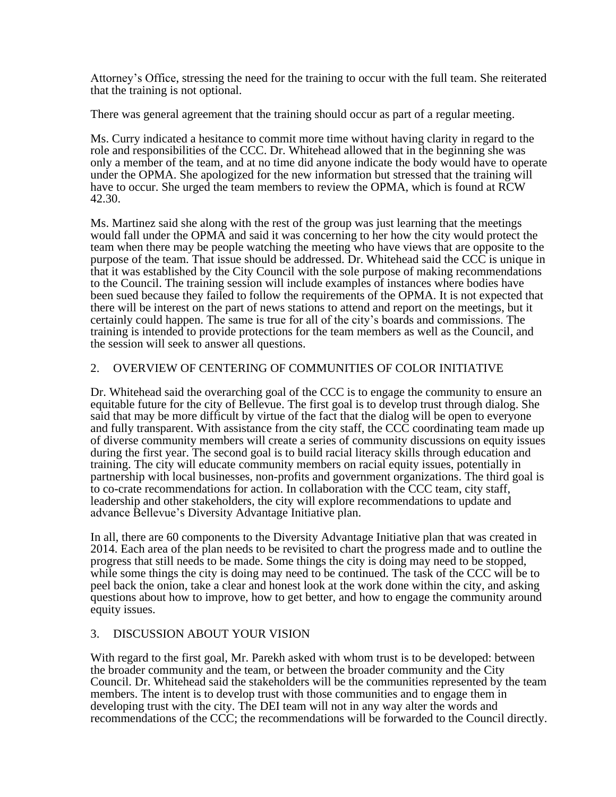Attorney's Office, stressing the need for the training to occur with the full team. She reiterated that the training is not optional.

There was general agreement that the training should occur as part of a regular meeting.

Ms. Curry indicated a hesitance to commit more time without having clarity in regard to the role and responsibilities of the CCC. Dr. Whitehead allowed that in the beginning she was only a member of the team, and at no time did anyone indicate the body would have to operate under the OPMA. She apologized for the new information but stressed that the training will have to occur. She urged the team members to review the OPMA, which is found at RCW 42.30.

Ms. Martinez said she along with the rest of the group was just learning that the meetings would fall under the OPMA and said it was concerning to her how the city would protect the team when there may be people watching the meeting who have views that are opposite to the purpose of the team. That issue should be addressed. Dr. Whitehead said the CCC is unique in that it was established by the City Council with the sole purpose of making recommendations to the Council. The training session will include examples of instances where bodies have been sued because they failed to follow the requirements of the OPMA. It is not expected that there will be interest on the part of news stations to attend and report on the meetings, but it certainly could happen. The same is true for all of the city's boards and commissions. The training is intended to provide protections for the team members as well as the Council, and the session will seek to answer all questions.

## 2. OVERVIEW OF CENTERING OF COMMUNITIES OF COLOR INITIATIVE

Dr. Whitehead said the overarching goal of the CCC is to engage the community to ensure an equitable future for the city of Bellevue. The first goal is to develop trust through dialog. She said that may be more difficult by virtue of the fact that the dialog will be open to everyone and fully transparent. With assistance from the city staff, the CCC coordinating team made up of diverse community members will create a series of community discussions on equity issues during the first year. The second goal is to build racial literacy skills through education and training. The city will educate community members on racial equity issues, potentially in partnership with local businesses, non-profits and government organizations. The third goal is to co-crate recommendations for action. In collaboration with the CCC team, city staff, leadership and other stakeholders, the city will explore recommendations to update and advance Bellevue's Diversity Advantage Initiative plan.

In all, there are 60 components to the Diversity Advantage Initiative plan that was created in 2014. Each area of the plan needs to be revisited to chart the progress made and to outline the progress that still needs to be made. Some things the city is doing may need to be stopped, while some things the city is doing may need to be continued. The task of the CCC will be to peel back the onion, take a clear and honest look at the work done within the city, and asking questions about how to improve, how to get better, and how to engage the community around equity issues.

# 3. DISCUSSION ABOUT YOUR VISION

With regard to the first goal, Mr. Parekh asked with whom trust is to be developed: between the broader community and the team, or between the broader community and the City Council. Dr. Whitehead said the stakeholders will be the communities represented by the team members. The intent is to develop trust with those communities and to engage them in developing trust with the city. The DEI team will not in any way alter the words and recommendations of the CCC; the recommendations will be forwarded to the Council directly.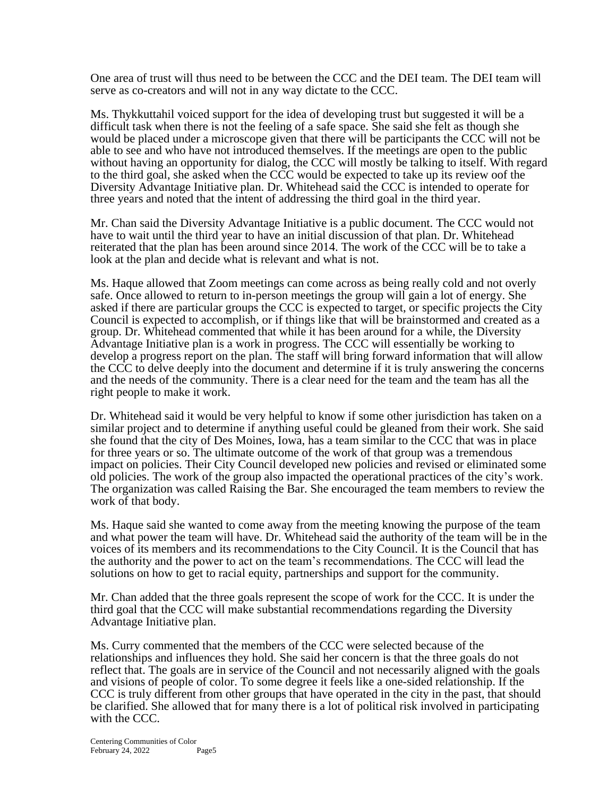One area of trust will thus need to be between the CCC and the DEI team. The DEI team will serve as co-creators and will not in any way dictate to the CCC.

Ms. Thykkuttahil voiced support for the idea of developing trust but suggested it will be a difficult task when there is not the feeling of a safe space. She said she felt as though she would be placed under a microscope given that there will be participants the CCC will not be able to see and who have not introduced themselves. If the meetings are open to the public without having an opportunity for dialog, the CCC will mostly be talking to itself. With regard to the third goal, she asked when the CCC would be expected to take up its review oof the Diversity Advantage Initiative plan. Dr. Whitehead said the CCC is intended to operate for three years and noted that the intent of addressing the third goal in the third year.

Mr. Chan said the Diversity Advantage Initiative is a public document. The CCC would not have to wait until the third year to have an initial discussion of that plan. Dr. Whitehead reiterated that the plan has been around since 2014. The work of the CCC will be to take a look at the plan and decide what is relevant and what is not.

Ms. Haque allowed that Zoom meetings can come across as being really cold and not overly safe. Once allowed to return to in-person meetings the group will gain a lot of energy. She asked if there are particular groups the CCC is expected to target, or specific projects the City Council is expected to accomplish, or if things like that will be brainstormed and created as a group. Dr. Whitehead commented that while it has been around for a while, the Diversity Advantage Initiative plan is a work in progress. The CCC will essentially be working to develop a progress report on the plan. The staff will bring forward information that will allow the CCC to delve deeply into the document and determine if it is truly answering the concerns and the needs of the community. There is a clear need for the team and the team has all the right people to make it work.

Dr. Whitehead said it would be very helpful to know if some other jurisdiction has taken on a similar project and to determine if anything useful could be gleaned from their work. She said she found that the city of Des Moines, Iowa, has a team similar to the CCC that was in place for three years or so. The ultimate outcome of the work of that group was a tremendous impact on policies. Their City Council developed new policies and revised or eliminated some old policies. The work of the group also impacted the operational practices of the city's work. The organization was called Raising the Bar. She encouraged the team members to review the work of that body.

Ms. Haque said she wanted to come away from the meeting knowing the purpose of the team and what power the team will have. Dr. Whitehead said the authority of the team will be in the voices of its members and its recommendations to the City Council. It is the Council that has the authority and the power to act on the team's recommendations. The CCC will lead the solutions on how to get to racial equity, partnerships and support for the community.

Mr. Chan added that the three goals represent the scope of work for the CCC. It is under the third goal that the CCC will make substantial recommendations regarding the Diversity Advantage Initiative plan.

Ms. Curry commented that the members of the CCC were selected because of the relationships and influences they hold. She said her concern is that the three goals do not reflect that. The goals are in service of the Council and not necessarily aligned with the goals and visions of people of color. To some degree it feels like a one-sided relationship. If the CCC is truly different from other groups that have operated in the city in the past, that should be clarified. She allowed that for many there is a lot of political risk involved in participating with the CCC.